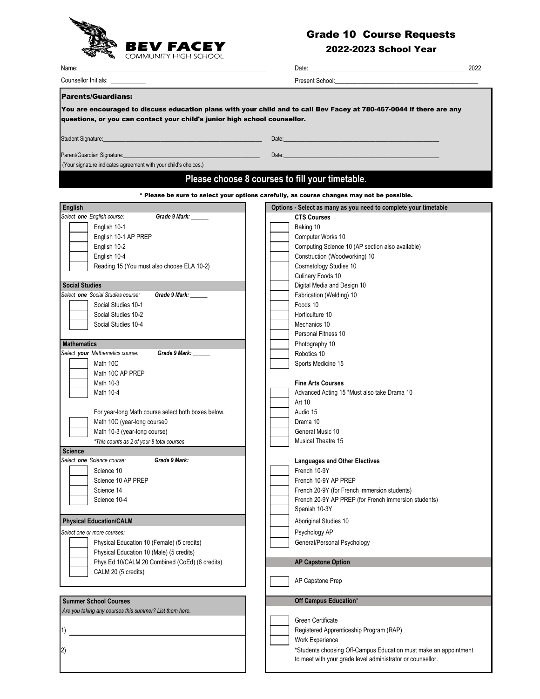

## Grade 10 Course Requests

## 2022-2023 School Year

|                                                                                                                  |                                                                                                                                                                                                                                      | 2022 |
|------------------------------------------------------------------------------------------------------------------|--------------------------------------------------------------------------------------------------------------------------------------------------------------------------------------------------------------------------------------|------|
| Counsellor Initials: <b>contains</b>                                                                             | Present School: The School School School School School School School School School School School School School                                                                                                                       |      |
| <b>Parents/Guardians:</b>                                                                                        |                                                                                                                                                                                                                                      |      |
|                                                                                                                  | You are encouraged to discuss education plans with your child and to call Bev Facey at 780-467-0044 if there are any                                                                                                                 |      |
| questions, or you can contact your child's junior high school counsellor.                                        |                                                                                                                                                                                                                                      |      |
|                                                                                                                  |                                                                                                                                                                                                                                      |      |
| Student Signature: etc. but also a state of the state of the state of the state of the state of the state of the | Date: <u>in the contract of the contract of the contract of the contract of the contract of the contract of the contract of the contract of the contract of the contract of the contract of the contract of the contract of the </u> |      |
| Parent/Guardian Signature:____________________                                                                   | Date: http://www.archive.com/warehouse.com/warehouse.com/warehouse.com/warehouse.com                                                                                                                                                 |      |
| (Your signature indicates agreement with your child's choices.)                                                  |                                                                                                                                                                                                                                      |      |
|                                                                                                                  | Please choose 8 courses to fill your timetable.                                                                                                                                                                                      |      |
|                                                                                                                  |                                                                                                                                                                                                                                      |      |
|                                                                                                                  | * Please be sure to select your options carefully, as course changes may not be possible.                                                                                                                                            |      |
| English<br>Select one English course:<br>Grade 9 Mark: ______                                                    | Options - Select as many as you need to complete your timetable<br><b>CTS Courses</b>                                                                                                                                                |      |
| English 10-1                                                                                                     | Baking 10                                                                                                                                                                                                                            |      |
| English 10-1 AP PREP                                                                                             | Computer Works 10                                                                                                                                                                                                                    |      |
| English 10-2                                                                                                     | Computing Science 10 (AP section also available)                                                                                                                                                                                     |      |
| English 10-4                                                                                                     |                                                                                                                                                                                                                                      |      |
|                                                                                                                  | Construction (Woodworking) 10                                                                                                                                                                                                        |      |
| Reading 15 (You must also choose ELA 10-2)                                                                       | Cosmetology Studies 10                                                                                                                                                                                                               |      |
|                                                                                                                  | Culinary Foods 10                                                                                                                                                                                                                    |      |
| <b>Social Studies</b>                                                                                            | Digital Media and Design 10                                                                                                                                                                                                          |      |
| Select one Social Studies course:<br><b>Grade 9 Mark:</b>                                                        | Fabrication (Welding) 10                                                                                                                                                                                                             |      |
| Social Studies 10-1                                                                                              | Foods 10                                                                                                                                                                                                                             |      |
| Social Studies 10-2                                                                                              | Horticulture 10                                                                                                                                                                                                                      |      |
| Social Studies 10-4                                                                                              | Mechanics 10                                                                                                                                                                                                                         |      |
|                                                                                                                  | Personal Fitness 10                                                                                                                                                                                                                  |      |
| <b>Mathematics</b>                                                                                               | Photography 10                                                                                                                                                                                                                       |      |
| Select your Mathematics course:<br>Grade 9 Mark: ______                                                          | Robotics 10                                                                                                                                                                                                                          |      |
| Math 10C                                                                                                         |                                                                                                                                                                                                                                      |      |
|                                                                                                                  | Sports Medicine 15                                                                                                                                                                                                                   |      |
| Math 10C AP PREP                                                                                                 |                                                                                                                                                                                                                                      |      |
| Math 10-3                                                                                                        | <b>Fine Arts Courses</b>                                                                                                                                                                                                             |      |
| Math 10-4                                                                                                        | Advanced Acting 15 *Must also take Drama 10                                                                                                                                                                                          |      |
|                                                                                                                  | Art 10                                                                                                                                                                                                                               |      |
| For year-long Math course select both boxes below.                                                               | Audio 15                                                                                                                                                                                                                             |      |
| Math 10C (year-long course0                                                                                      | Drama 10                                                                                                                                                                                                                             |      |
| Math 10-3 (year-long course)                                                                                     | General Music 10                                                                                                                                                                                                                     |      |
| *This counts as 2 of your 8 total courses                                                                        | <b>Musical Theatre 15</b>                                                                                                                                                                                                            |      |
| <b>Science</b>                                                                                                   |                                                                                                                                                                                                                                      |      |
| Select <b>one</b> Science course:<br>Grade 9 Mark: _                                                             | <b>Languages and Other Electives</b>                                                                                                                                                                                                 |      |
| Science 10                                                                                                       | French 10-9Y                                                                                                                                                                                                                         |      |
| Science 10 AP PREP                                                                                               | French 10-9Y AP PREP                                                                                                                                                                                                                 |      |
| Science 14                                                                                                       | French 20-9Y (for French immersion students)                                                                                                                                                                                         |      |
| Science 10-4                                                                                                     | French 20-9Y AP PREP (for French immersion students)                                                                                                                                                                                 |      |
|                                                                                                                  | Spanish 10-3Y                                                                                                                                                                                                                        |      |
| <b>Physical Education/CALM</b>                                                                                   | Aboriginal Studies 10                                                                                                                                                                                                                |      |
|                                                                                                                  |                                                                                                                                                                                                                                      |      |
| Select one or more courses:                                                                                      | Psychology AP                                                                                                                                                                                                                        |      |
| Physical Education 10 (Female) (5 credits)                                                                       | General/Personal Psychology                                                                                                                                                                                                          |      |
| Physical Education 10 (Male) (5 credits)                                                                         |                                                                                                                                                                                                                                      |      |
| Phys Ed 10/CALM 20 Combined (CoEd) (6 credits)                                                                   | <b>AP Capstone Option</b>                                                                                                                                                                                                            |      |
| CALM 20 (5 credits)                                                                                              |                                                                                                                                                                                                                                      |      |
|                                                                                                                  | AP Capstone Prep                                                                                                                                                                                                                     |      |
|                                                                                                                  |                                                                                                                                                                                                                                      |      |
| <b>Summer School Courses</b>                                                                                     | Off Campus Education*                                                                                                                                                                                                                |      |
| Are you taking any courses this summer? List them here.                                                          |                                                                                                                                                                                                                                      |      |
|                                                                                                                  | Green Certificate                                                                                                                                                                                                                    |      |
| 1)                                                                                                               | Registered Apprenticeship Program (RAP)                                                                                                                                                                                              |      |
|                                                                                                                  | Work Experience                                                                                                                                                                                                                      |      |
| 2)                                                                                                               | *Students choosing Off-Campus Education must make an appointment                                                                                                                                                                     |      |
|                                                                                                                  | to meet with your grade level administrator or counsellor.                                                                                                                                                                           |      |